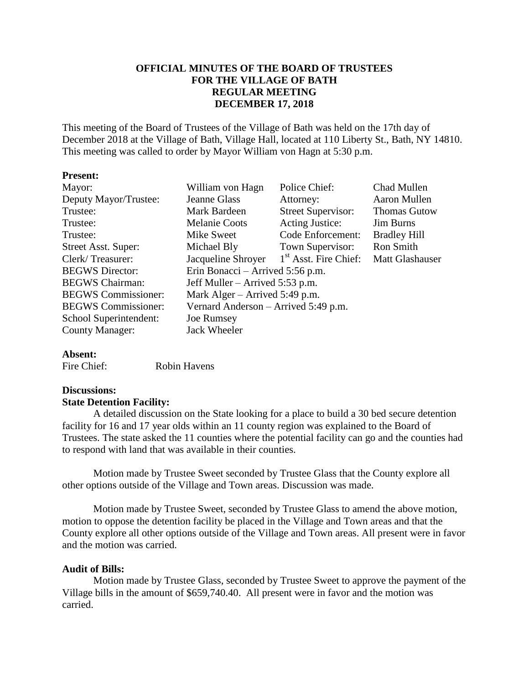## **OFFICIAL MINUTES OF THE BOARD OF TRUSTEES FOR THE VILLAGE OF BATH REGULAR MEETING DECEMBER 17, 2018**

This meeting of the Board of Trustees of the Village of Bath was held on the 17th day of December 2018 at the Village of Bath, Village Hall, located at 110 Liberty St., Bath, NY 14810. This meeting was called to order by Mayor William von Hagn at 5:30 p.m.

#### **Present:**

| Mayor:                     | William von Hagn                     | Police Chief:             | <b>Chad Mullen</b>  |  |
|----------------------------|--------------------------------------|---------------------------|---------------------|--|
| Deputy Mayor/Trustee:      | Jeanne Glass                         | Attorney:                 | Aaron Mullen        |  |
| Trustee:                   | Mark Bardeen                         | <b>Street Supervisor:</b> | <b>Thomas Gutow</b> |  |
| Trustee:                   | <b>Melanie Coots</b>                 | <b>Acting Justice:</b>    | <b>Jim Burns</b>    |  |
| Trustee:                   | Mike Sweet                           | Code Enforcement:         | <b>Bradley Hill</b> |  |
| Street Asst. Super:        | Michael Bly                          | Town Supervisor:          | Ron Smith           |  |
| Clerk/Treasurer:           | Jacqueline Shroyer                   | $1st$ Asst. Fire Chief:   | Matt Glashauser     |  |
| <b>BEGWS</b> Director:     | Erin Bonacci – Arrived 5:56 p.m.     |                           |                     |  |
| <b>BEGWS</b> Chairman:     | Jeff Muller – Arrived 5:53 p.m.      |                           |                     |  |
| <b>BEGWS</b> Commissioner: | Mark Alger – Arrived 5:49 p.m.       |                           |                     |  |
| <b>BEGWS</b> Commissioner: | Vernard Anderson – Arrived 5:49 p.m. |                           |                     |  |
| School Superintendent:     | Joe Rumsey                           |                           |                     |  |
| <b>County Manager:</b>     | Jack Wheeler                         |                           |                     |  |

#### **Absent:**

| Fire Chief: | Robin Havens |
|-------------|--------------|
|             |              |

# **Discussions:**

#### **State Detention Facility:**

A detailed discussion on the State looking for a place to build a 30 bed secure detention facility for 16 and 17 year olds within an 11 county region was explained to the Board of Trustees. The state asked the 11 counties where the potential facility can go and the counties had to respond with land that was available in their counties.

Motion made by Trustee Sweet seconded by Trustee Glass that the County explore all other options outside of the Village and Town areas. Discussion was made.

Motion made by Trustee Sweet, seconded by Trustee Glass to amend the above motion, motion to oppose the detention facility be placed in the Village and Town areas and that the County explore all other options outside of the Village and Town areas. All present were in favor and the motion was carried.

### **Audit of Bills:**

Motion made by Trustee Glass, seconded by Trustee Sweet to approve the payment of the Village bills in the amount of \$659,740.40. All present were in favor and the motion was carried.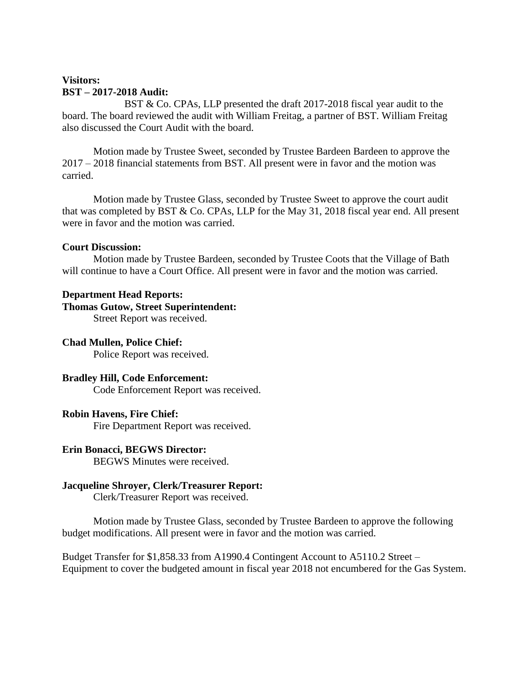# **Visitors: BST – 2017-2018 Audit:**

BST & Co. CPAs, LLP presented the draft 2017-2018 fiscal year audit to the board. The board reviewed the audit with William Freitag, a partner of BST. William Freitag also discussed the Court Audit with the board.

Motion made by Trustee Sweet, seconded by Trustee Bardeen Bardeen to approve the 2017 – 2018 financial statements from BST. All present were in favor and the motion was carried.

Motion made by Trustee Glass, seconded by Trustee Sweet to approve the court audit that was completed by BST & Co. CPAs, LLP for the May 31, 2018 fiscal year end. All present were in favor and the motion was carried.

### **Court Discussion:**

Motion made by Trustee Bardeen, seconded by Trustee Coots that the Village of Bath will continue to have a Court Office. All present were in favor and the motion was carried.

## **Department Head Reports:**

## **Thomas Gutow, Street Superintendent:**

Street Report was received.

# **Chad Mullen, Police Chief:**

Police Report was received.

# **Bradley Hill, Code Enforcement:**

Code Enforcement Report was received.

# **Robin Havens, Fire Chief:**

Fire Department Report was received.

# **Erin Bonacci, BEGWS Director:**

BEGWS Minutes were received.

### **Jacqueline Shroyer, Clerk/Treasurer Report:**

Clerk/Treasurer Report was received.

Motion made by Trustee Glass, seconded by Trustee Bardeen to approve the following budget modifications. All present were in favor and the motion was carried.

Budget Transfer for \$1,858.33 from A1990.4 Contingent Account to A5110.2 Street – Equipment to cover the budgeted amount in fiscal year 2018 not encumbered for the Gas System.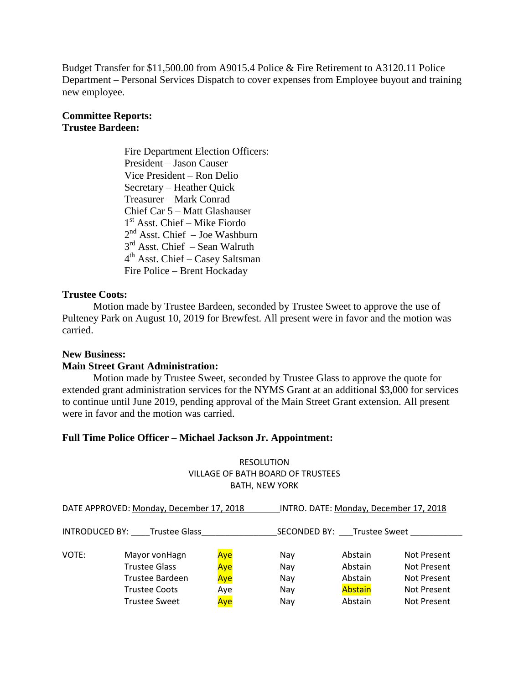Budget Transfer for \$11,500.00 from A9015.4 Police & Fire Retirement to A3120.11 Police Department – Personal Services Dispatch to cover expenses from Employee buyout and training new employee.

## **Committee Reports: Trustee Bardeen:**

Fire Department Election Officers: President – Jason Causer Vice President – Ron Delio Secretary – Heather Quick Treasurer – Mark Conrad Chief Car 5 – Matt Glashauser 1 st Asst. Chief – Mike Fiordo 2<sup>nd</sup> Asst. Chief – Joe Washburn 3<sup>rd</sup> Asst. Chief – Sean Walruth 4<sup>th</sup> Asst. Chief – Casey Saltsman Fire Police – Brent Hockaday

## **Trustee Coots:**

Motion made by Trustee Bardeen, seconded by Trustee Sweet to approve the use of Pulteney Park on August 10, 2019 for Brewfest. All present were in favor and the motion was carried.

### **New Business:**

### **Main Street Grant Administration:**

Motion made by Trustee Sweet, seconded by Trustee Glass to approve the quote for extended grant administration services for the NYMS Grant at an additional \$3,000 for services to continue until June 2019, pending approval of the Main Street Grant extension. All present were in favor and the motion was carried.

### **Full Time Police Officer – Michael Jackson Jr. Appointment:**

### RESOLUTION VILLAGE OF BATH BOARD OF TRUSTEES BATH, NEW YORK

| DATE APPROVED: Monday, December 17, 2018 |                        | INTRO. DATE: Monday, December 17, 2018 |              |                      |             |
|------------------------------------------|------------------------|----------------------------------------|--------------|----------------------|-------------|
| <b>INTRODUCED BY:</b>                    | <b>Trustee Glass</b>   |                                        | SECONDED BY: | <b>Trustee Sweet</b> |             |
| VOTE:                                    | Mayor von Hagn         | Aye                                    | Nav          | Abstain              | Not Present |
|                                          | <b>Trustee Glass</b>   | Aye                                    | Nay          | Abstain              | Not Present |
|                                          | <b>Trustee Bardeen</b> | Aye                                    | Nav          | Abstain              | Not Present |
|                                          | Trustee Coots          | Aye                                    | Nav          | Abstain              | Not Present |
|                                          | <b>Trustee Sweet</b>   | Ave                                    | Nav          | Abstain              | Not Present |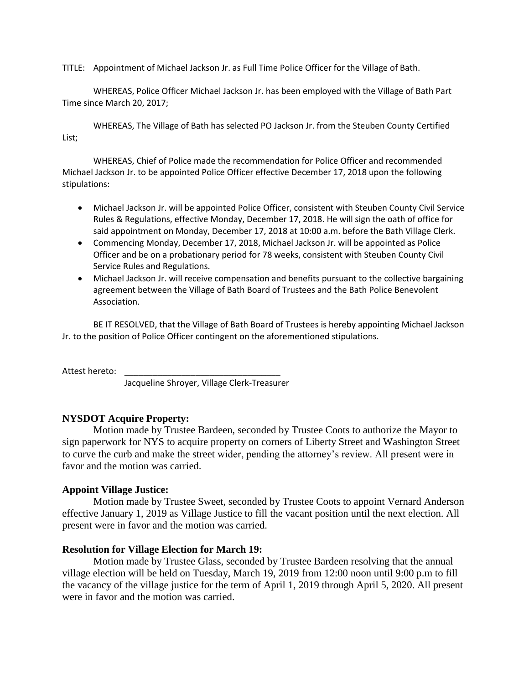TITLE: Appointment of Michael Jackson Jr. as Full Time Police Officer for the Village of Bath.

WHEREAS, Police Officer Michael Jackson Jr. has been employed with the Village of Bath Part Time since March 20, 2017;

WHEREAS, The Village of Bath has selected PO Jackson Jr. from the Steuben County Certified List;

WHEREAS, Chief of Police made the recommendation for Police Officer and recommended Michael Jackson Jr. to be appointed Police Officer effective December 17, 2018 upon the following stipulations:

- Michael Jackson Jr. will be appointed Police Officer, consistent with Steuben County Civil Service Rules & Regulations, effective Monday, December 17, 2018. He will sign the oath of office for said appointment on Monday, December 17, 2018 at 10:00 a.m. before the Bath Village Clerk.
- Commencing Monday, December 17, 2018, Michael Jackson Jr. will be appointed as Police Officer and be on a probationary period for 78 weeks, consistent with Steuben County Civil Service Rules and Regulations.
- Michael Jackson Jr. will receive compensation and benefits pursuant to the collective bargaining agreement between the Village of Bath Board of Trustees and the Bath Police Benevolent Association.

BE IT RESOLVED, that the Village of Bath Board of Trustees is hereby appointing Michael Jackson Jr. to the position of Police Officer contingent on the aforementioned stipulations.

Attest hereto:

Jacqueline Shroyer, Village Clerk-Treasurer

### **NYSDOT Acquire Property:**

Motion made by Trustee Bardeen, seconded by Trustee Coots to authorize the Mayor to sign paperwork for NYS to acquire property on corners of Liberty Street and Washington Street to curve the curb and make the street wider, pending the attorney's review. All present were in favor and the motion was carried.

### **Appoint Village Justice:**

Motion made by Trustee Sweet, seconded by Trustee Coots to appoint Vernard Anderson effective January 1, 2019 as Village Justice to fill the vacant position until the next election. All present were in favor and the motion was carried.

#### **Resolution for Village Election for March 19:**

Motion made by Trustee Glass, seconded by Trustee Bardeen resolving that the annual village election will be held on Tuesday, March 19, 2019 from 12:00 noon until 9:00 p.m to fill the vacancy of the village justice for the term of April 1, 2019 through April 5, 2020. All present were in favor and the motion was carried.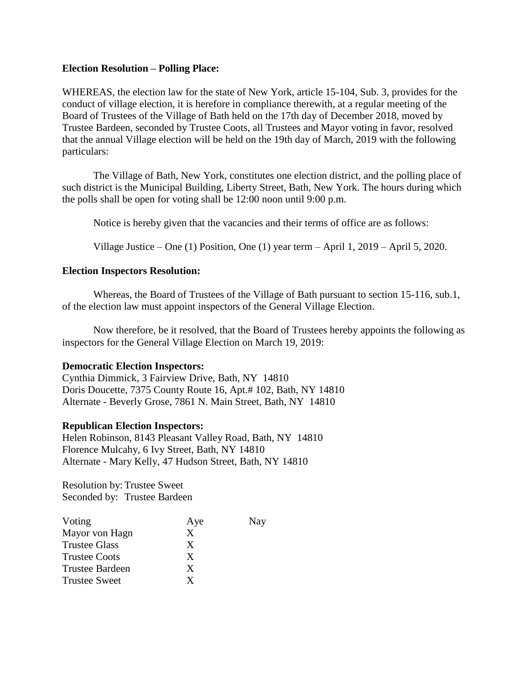#### **Election Resolution – Polling Place:**

WHEREAS, the election law for the state of New York, article 15-104, Sub. 3, provides for the conduct of village election, it is herefore in compliance therewith, at a regular meeting of the Board of Trustees of the Village of Bath held on the 17th day of December 2018, moved by Trustee Bardeen, seconded by Trustee Coots, all Trustees and Mayor voting in favor, resolved that the annual Village election will be held on the 19th day of March, 2019 with the following particulars:

The Village of Bath, New York, constitutes one election district, and the polling place of such district is the Municipal Building, Liberty Street, Bath, New York. The hours during which the polls shall be open for voting shall be 12:00 noon until 9:00 p.m.

Notice is hereby given that the vacancies and their terms of office are as follows:

Village Justice – One (1) Position, One (1) year term – April 1, 2019 – April 5, 2020.

### **Election Inspectors Resolution:**

Whereas, the Board of Trustees of the Village of Bath pursuant to section 15-116, sub.1, of the election law must appoint inspectors of the General Village Election.

Now therefore, be it resolved, that the Board of Trustees hereby appoints the following as inspectors for the General Village Election on March 19, 2019:

### **Democratic Election Inspectors:**

Cynthia Dimmick, 3 Fairview Drive, Bath, NY 14810 Doris Doucette, 7375 County Route 16, Apt.# 102, Bath, NY 14810 Alternate - Beverly Grose, 7861 N. Main Street, Bath, NY 14810

### **Republican Election Inspectors:**

Helen Robinson, 8143 Pleasant Valley Road, Bath, NY 14810 Florence Mulcahy, 6 Ivy Street, Bath, NY 14810 Alternate - Mary Kelly, 47 Hudson Street, Bath, NY 14810

Resolution by: Trustee Sweet Seconded by: Trustee Bardeen

| Voting                 | Aye | Nay |
|------------------------|-----|-----|
| Mayor von Hagn         | X   |     |
| <b>Trustee Glass</b>   | X   |     |
| <b>Trustee Coots</b>   | X   |     |
| <b>Trustee Bardeen</b> | X   |     |
| <b>Trustee Sweet</b>   | x   |     |